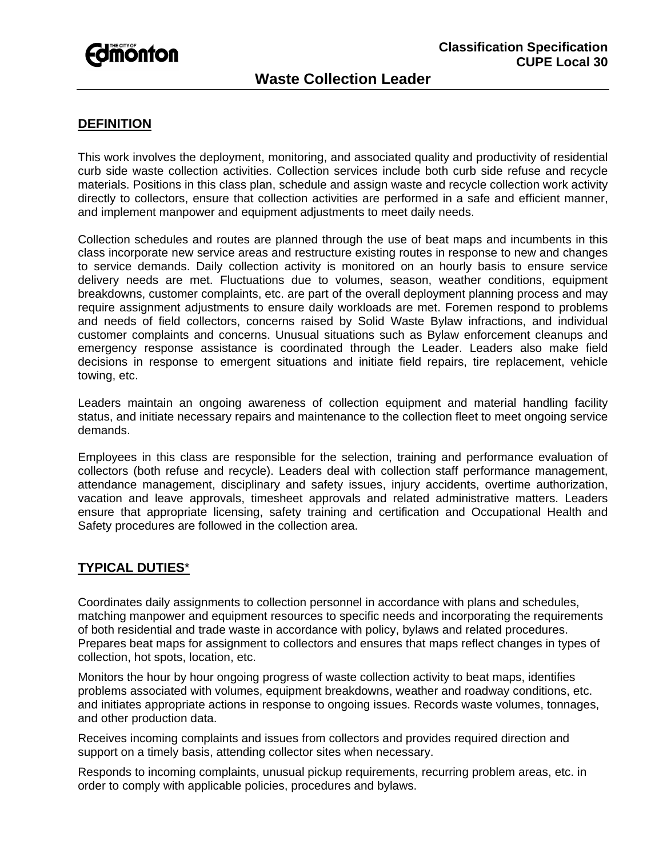

# **Waste Collection Leader**

## **DEFINITION**

This work involves the deployment, monitoring, and associated quality and productivity of residential curb side waste collection activities. Collection services include both curb side refuse and recycle materials. Positions in this class plan, schedule and assign waste and recycle collection work activity directly to collectors, ensure that collection activities are performed in a safe and efficient manner, and implement manpower and equipment adjustments to meet daily needs.

Collection schedules and routes are planned through the use of beat maps and incumbents in this class incorporate new service areas and restructure existing routes in response to new and changes to service demands. Daily collection activity is monitored on an hourly basis to ensure service delivery needs are met. Fluctuations due to volumes, season, weather conditions, equipment breakdowns, customer complaints, etc. are part of the overall deployment planning process and may require assignment adjustments to ensure daily workloads are met. Foremen respond to problems and needs of field collectors, concerns raised by Solid Waste Bylaw infractions, and individual customer complaints and concerns. Unusual situations such as Bylaw enforcement cleanups and emergency response assistance is coordinated through the Leader. Leaders also make field decisions in response to emergent situations and initiate field repairs, tire replacement, vehicle towing, etc.

Leaders maintain an ongoing awareness of collection equipment and material handling facility status, and initiate necessary repairs and maintenance to the collection fleet to meet ongoing service demands.

Employees in this class are responsible for the selection, training and performance evaluation of collectors (both refuse and recycle). Leaders deal with collection staff performance management, attendance management, disciplinary and safety issues, injury accidents, overtime authorization, vacation and leave approvals, timesheet approvals and related administrative matters. Leaders ensure that appropriate licensing, safety training and certification and Occupational Health and Safety procedures are followed in the collection area.

### **TYPICAL DUTIES**\*

Coordinates daily assignments to collection personnel in accordance with plans and schedules, matching manpower and equipment resources to specific needs and incorporating the requirements of both residential and trade waste in accordance with policy, bylaws and related procedures. Prepares beat maps for assignment to collectors and ensures that maps reflect changes in types of collection, hot spots, location, etc.

Monitors the hour by hour ongoing progress of waste collection activity to beat maps, identifies problems associated with volumes, equipment breakdowns, weather and roadway conditions, etc. and initiates appropriate actions in response to ongoing issues. Records waste volumes, tonnages, and other production data.

Receives incoming complaints and issues from collectors and provides required direction and support on a timely basis, attending collector sites when necessary.

Responds to incoming complaints, unusual pickup requirements, recurring problem areas, etc. in order to comply with applicable policies, procedures and bylaws.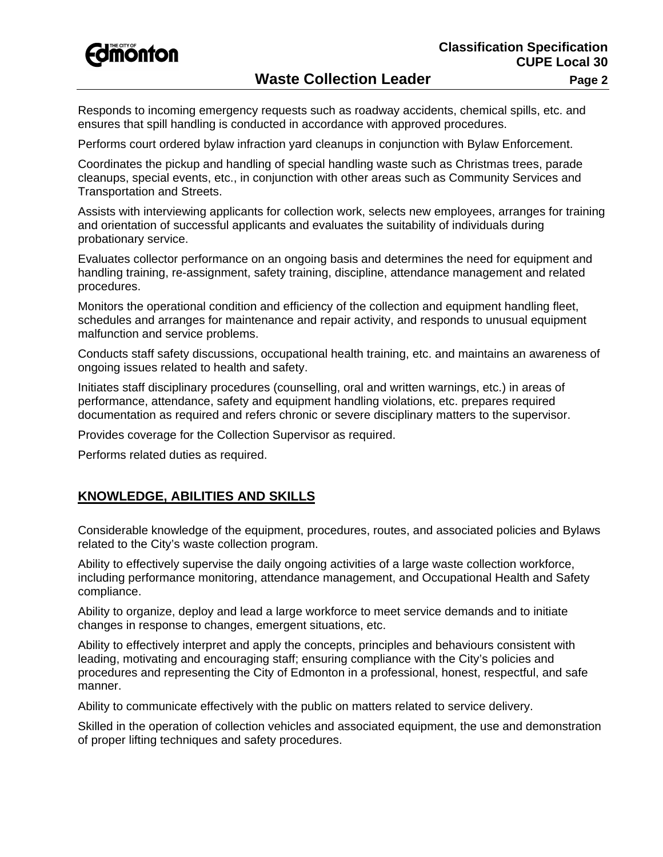

## **Waste Collection Leader**  Page 2

Responds to incoming emergency requests such as roadway accidents, chemical spills, etc. and ensures that spill handling is conducted in accordance with approved procedures.

Performs court ordered bylaw infraction yard cleanups in conjunction with Bylaw Enforcement.

Coordinates the pickup and handling of special handling waste such as Christmas trees, parade cleanups, special events, etc., in conjunction with other areas such as Community Services and Transportation and Streets.

Assists with interviewing applicants for collection work, selects new employees, arranges for training and orientation of successful applicants and evaluates the suitability of individuals during probationary service.

Evaluates collector performance on an ongoing basis and determines the need for equipment and handling training, re-assignment, safety training, discipline, attendance management and related procedures.

Monitors the operational condition and efficiency of the collection and equipment handling fleet, schedules and arranges for maintenance and repair activity, and responds to unusual equipment malfunction and service problems.

Conducts staff safety discussions, occupational health training, etc. and maintains an awareness of ongoing issues related to health and safety.

Initiates staff disciplinary procedures (counselling, oral and written warnings, etc.) in areas of performance, attendance, safety and equipment handling violations, etc. prepares required documentation as required and refers chronic or severe disciplinary matters to the supervisor.

Provides coverage for the Collection Supervisor as required.

Performs related duties as required.

### **KNOWLEDGE, ABILITIES AND SKILLS**

Considerable knowledge of the equipment, procedures, routes, and associated policies and Bylaws related to the City's waste collection program.

Ability to effectively supervise the daily ongoing activities of a large waste collection workforce, including performance monitoring, attendance management, and Occupational Health and Safety compliance.

Ability to organize, deploy and lead a large workforce to meet service demands and to initiate changes in response to changes, emergent situations, etc.

Ability to effectively interpret and apply the concepts, principles and behaviours consistent with leading, motivating and encouraging staff; ensuring compliance with the City's policies and procedures and representing the City of Edmonton in a professional, honest, respectful, and safe manner.

Ability to communicate effectively with the public on matters related to service delivery.

Skilled in the operation of collection vehicles and associated equipment, the use and demonstration of proper lifting techniques and safety procedures.